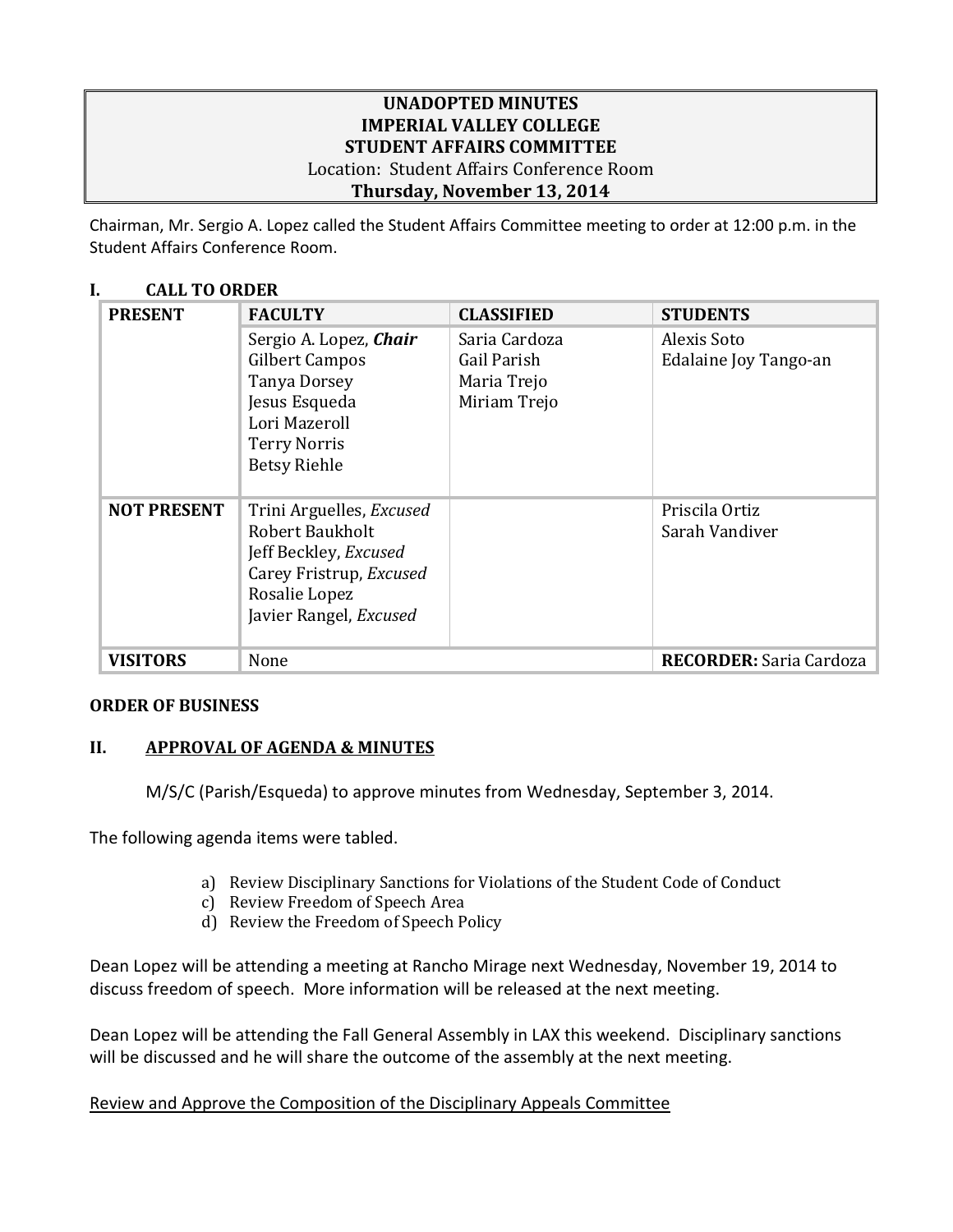### **UNADOPTED MINUTES IMPERIAL VALLEY COLLEGE STUDENT AFFAIRS COMMITTEE** Location: Student Affairs Conference Room **Thursday, November 13, 2014**

Chairman, Mr. Sergio A. Lopez called the Student Affairs Committee meeting to order at 12:00 p.m. in the Student Affairs Conference Room.

### **I. CALL TO ORDER**

| <b>PRESENT</b>     | <b>FACULTY</b>                                                                                                                                    | <b>CLASSIFIED</b> | <b>STUDENTS</b>                  |
|--------------------|---------------------------------------------------------------------------------------------------------------------------------------------------|-------------------|----------------------------------|
|                    | Sergio A. Lopez, Chair                                                                                                                            | Saria Cardoza     | Alexis Soto                      |
|                    | Gilbert Campos                                                                                                                                    | Gail Parish       | Edalaine Joy Tango-an            |
|                    | <b>Tanya Dorsey</b>                                                                                                                               | Maria Trejo       |                                  |
|                    | Jesus Esqueda                                                                                                                                     | Miriam Trejo      |                                  |
|                    | Lori Mazeroll                                                                                                                                     |                   |                                  |
|                    | <b>Terry Norris</b><br><b>Betsy Riehle</b>                                                                                                        |                   |                                  |
|                    |                                                                                                                                                   |                   |                                  |
| <b>NOT PRESENT</b> | Trini Arguelles, Excused<br><b>Robert Baukholt</b><br>Jeff Beckley, Excused<br>Carey Fristrup, Excused<br>Rosalie Lopez<br>Javier Rangel, Excused |                   | Priscila Ortiz<br>Sarah Vandiver |
| <b>VISITORS</b>    | None                                                                                                                                              |                   | <b>RECORDER:</b> Saria Cardoza   |

#### **ORDER OF BUSINESS**

# **II. APPROVAL OF AGENDA & MINUTES**

M/S/C (Parish/Esqueda) to approve minutes from Wednesday, September 3, 2014.

The following agenda items were tabled.

- a) Review Disciplinary Sanctions for Violations of the Student Code of Conduct
- c) Review Freedom of Speech Area
- d) Review the Freedom of Speech Policy

Dean Lopez will be attending a meeting at Rancho Mirage next Wednesday, November 19, 2014 to discuss freedom of speech. More information will be released at the next meeting.

Dean Lopez will be attending the Fall General Assembly in LAX this weekend. Disciplinary sanctions will be discussed and he will share the outcome of the assembly at the next meeting.

# Review and Approve the Composition of the Disciplinary Appeals Committee